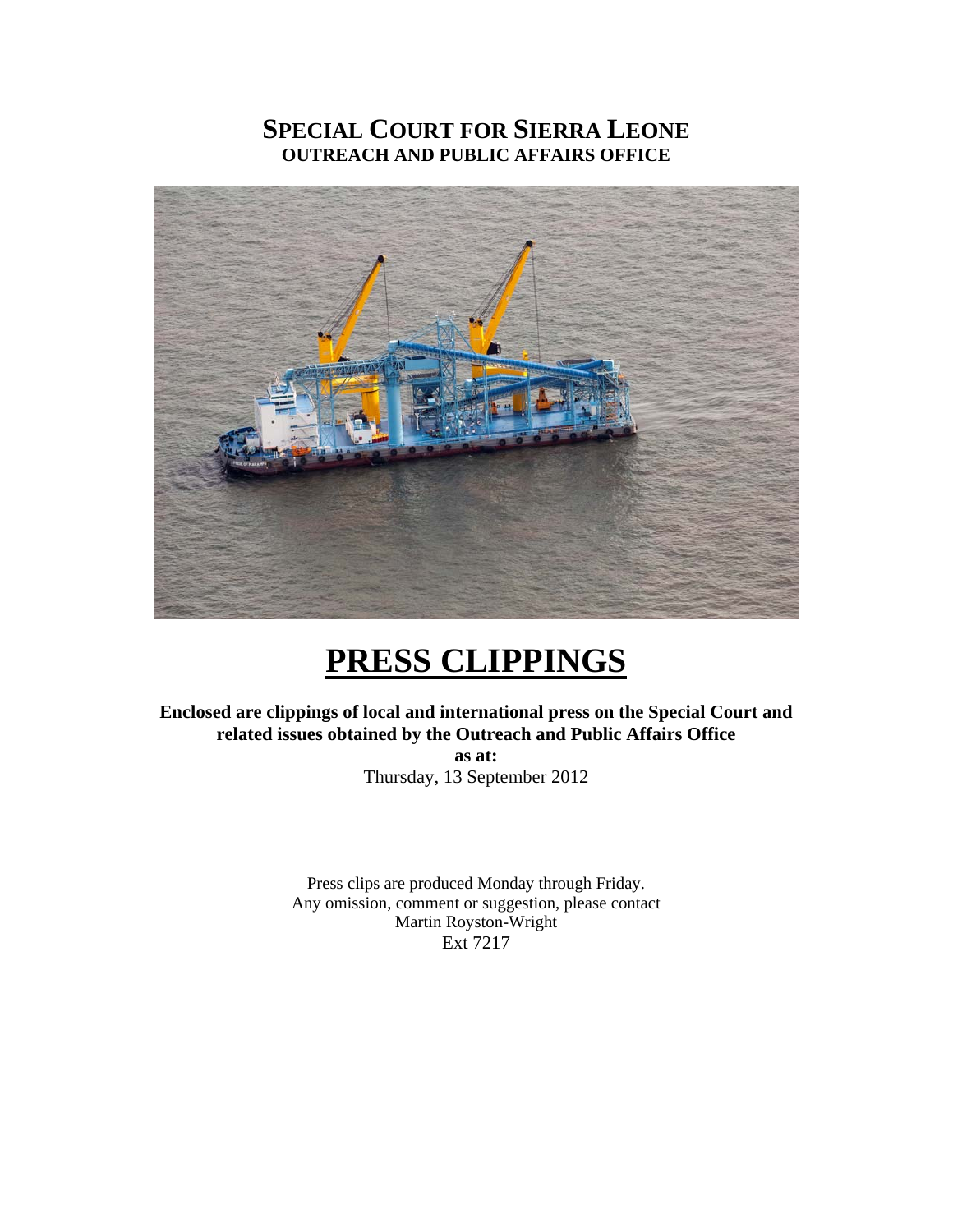### **SPECIAL COURT FOR SIERRA LEONE OUTREACH AND PUBLIC AFFAIRS OFFICE**



## **PRESS CLIPPINGS**

**Enclosed are clippings of local and international press on the Special Court and related issues obtained by the Outreach and Public Affairs Office** 

> **as at:**  Thursday, 13 September 2012

Press clips are produced Monday through Friday. Any omission, comment or suggestion, please contact Martin Royston-Wright Ext 7217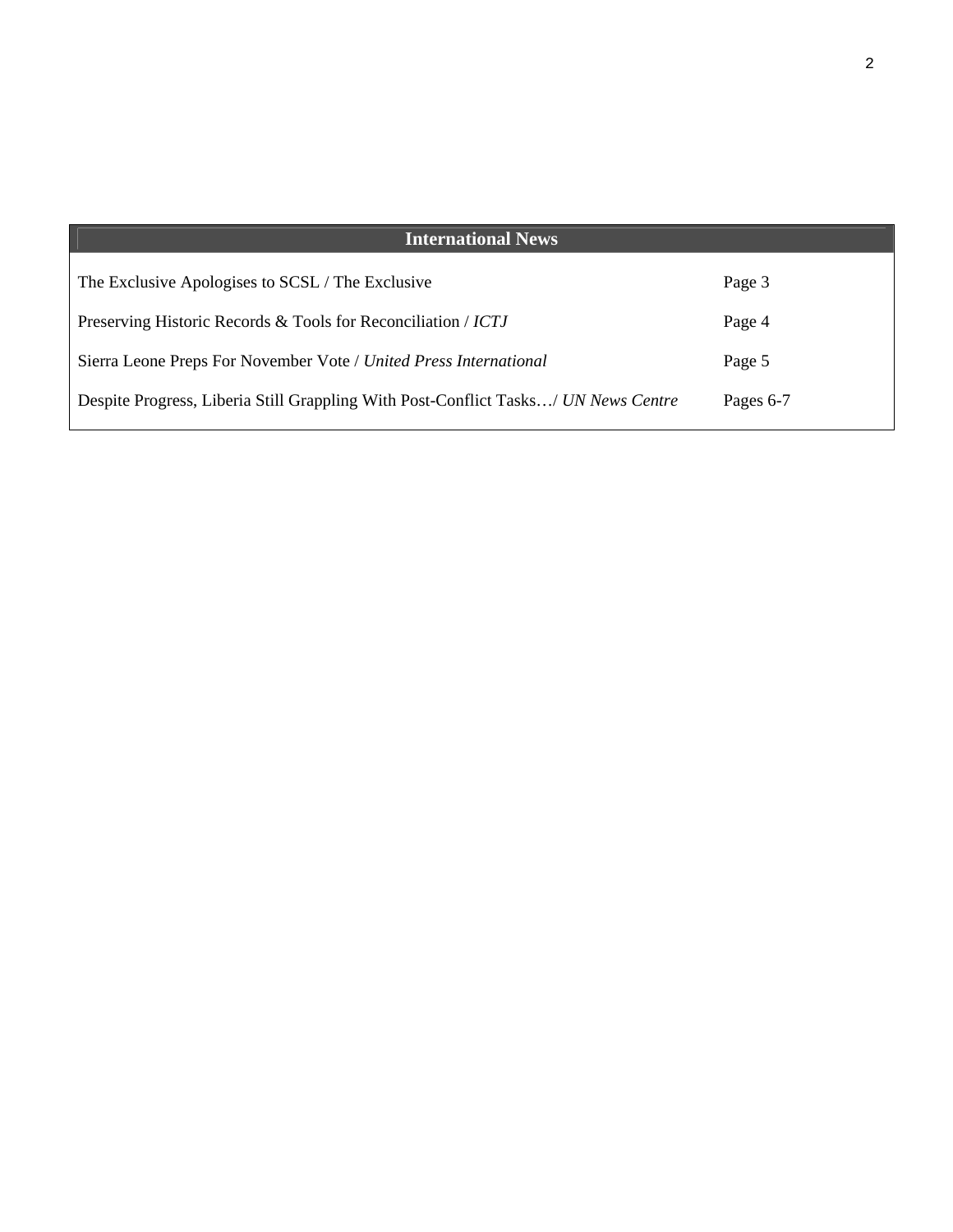| <b>International News</b>                                                          |           |
|------------------------------------------------------------------------------------|-----------|
| The Exclusive Apologises to SCSL / The Exclusive                                   | Page 3    |
| Preserving Historic Records & Tools for Reconciliation / ICTJ                      | Page 4    |
| Sierra Leone Preps For November Vote / United Press International                  | Page 5    |
| Despite Progress, Liberia Still Grappling With Post-Conflict Tasks/ UN News Centre | Pages 6-7 |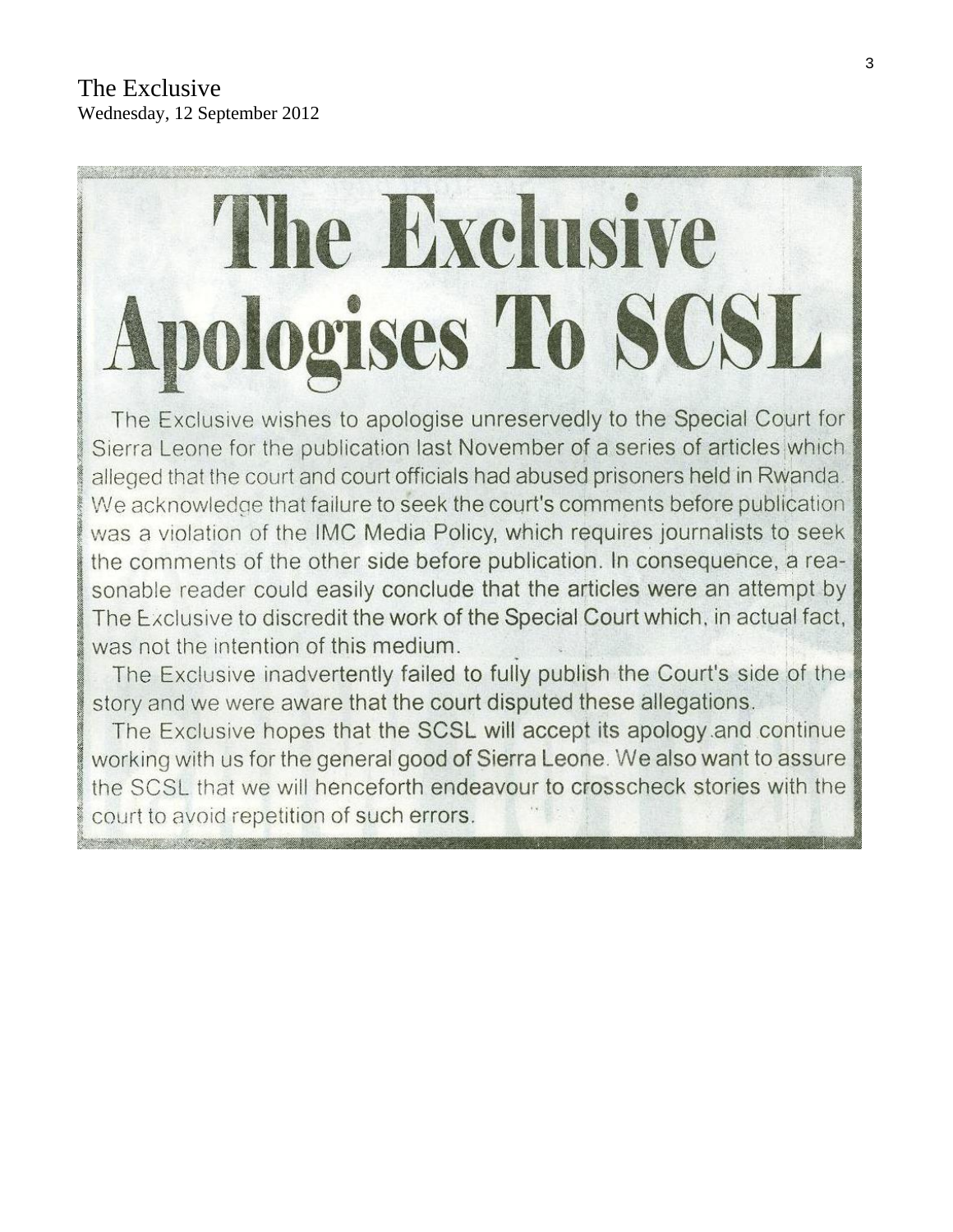# The Exclusive **Apologises To SCSL**

The Exclusive wishes to apologise unreservedly to the Special Court for Sierra Leone for the publication last November of a series of articles which alleged that the court and court officials had abused prisoners held in Rwanda. We acknowledge that failure to seek the court's comments before publication was a violation of the IMC Media Policy, which requires journalists to seek the comments of the other side before publication. In consequence, a reasonable reader could easily conclude that the articles were an attempt by The Exclusive to discredit the work of the Special Court which, in actual fact, was not the intention of this medium.

The Exclusive inadvertently failed to fully publish the Court's side of the story and we were aware that the court disputed these allegations.

The Exclusive hopes that the SCSL will accept its apology and continue working with us for the general good of Sierra Leone. We also want to assure the SCSL that we will henceforth endeavour to crosscheck stories with the court to avoid repetition of such errors.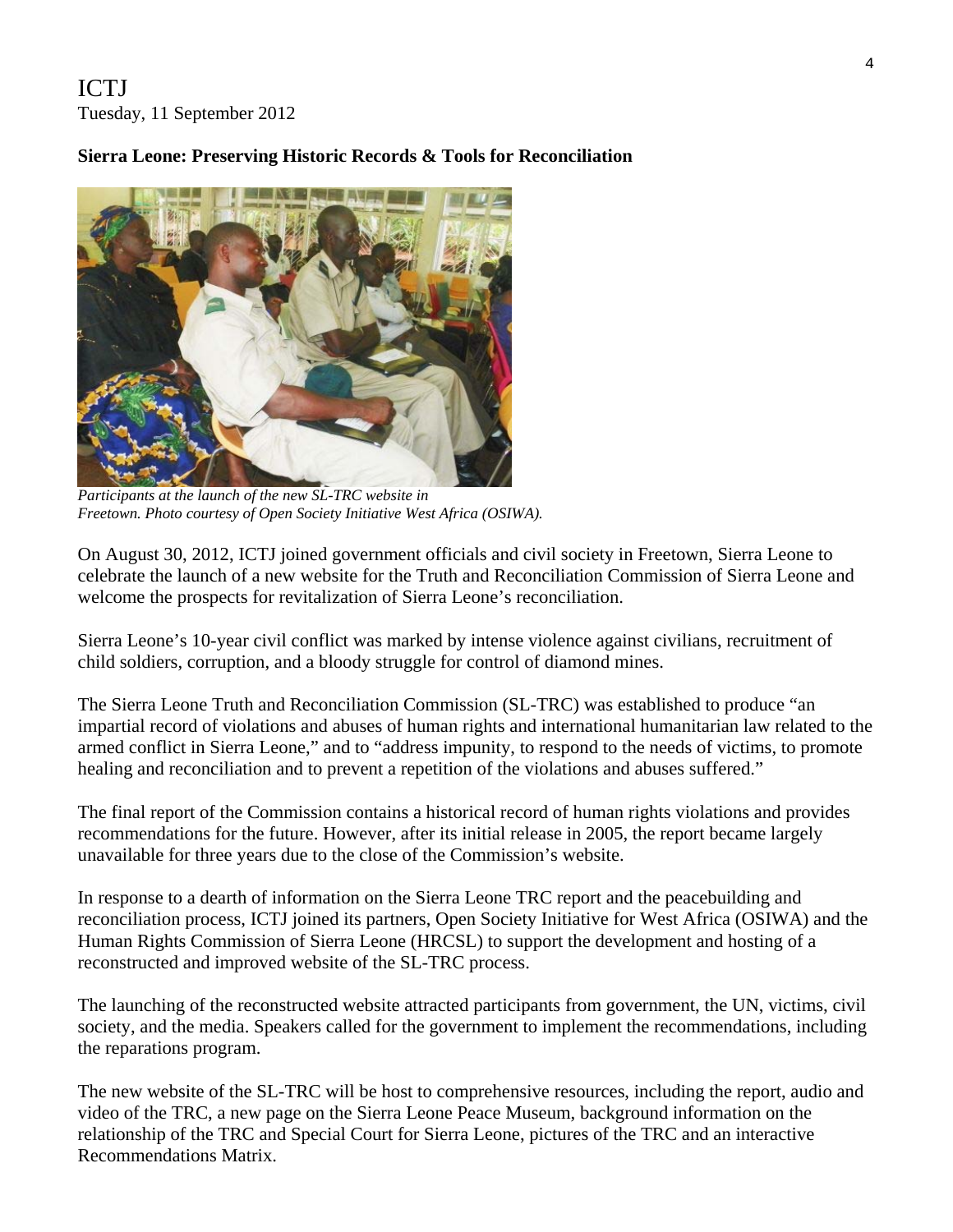ICTJ Tuesday, 11 September 2012

#### **Sierra Leone: Preserving Historic Records & Tools for Reconciliation**



*Participants at the launch of the new SL-TRC website in Freetown. Photo courtesy of Open Society Initiative West Africa (OSIWA).* 

On August 30, 2012, ICTJ joined government officials and civil society in Freetown, Sierra Leone to celebrate the launch of a new website for the Truth and Reconciliation Commission of Sierra Leone and welcome the prospects for revitalization of Sierra Leone's reconciliation.

Sierra Leone's 10-year civil conflict was marked by intense violence against civilians, recruitment of child soldiers, corruption, and a bloody struggle for control of diamond mines.

The Sierra Leone Truth and Reconciliation Commission (SL-TRC) was established to produce "an impartial record of violations and abuses of human rights and international humanitarian law related to the armed conflict in Sierra Leone," and to "address impunity, to respond to the needs of victims, to promote healing and reconciliation and to prevent a repetition of the violations and abuses suffered."

The final report of the Commission contains a historical record of human rights violations and provides recommendations for the future. However, after its initial release in 2005, the report became largely unavailable for three years due to the close of the Commission's website.

In response to a dearth of information on the Sierra Leone TRC report and the peacebuilding and reconciliation process, ICTJ joined its partners, Open Society Initiative for West Africa (OSIWA) and the Human Rights Commission of Sierra Leone (HRCSL) to support the development and hosting of a reconstructed and improved website of the SL-TRC process.

The launching of the reconstructed website attracted participants from government, the UN, victims, civil society, and the media. Speakers called for the government to implement the recommendations, including the reparations program.

The new website of the SL-TRC will be host to comprehensive resources, including the report, audio and video of the TRC, a new page on the Sierra Leone Peace Museum, background information on the relationship of the TRC and Special Court for Sierra Leone, pictures of the TRC and an interactive Recommendations Matrix.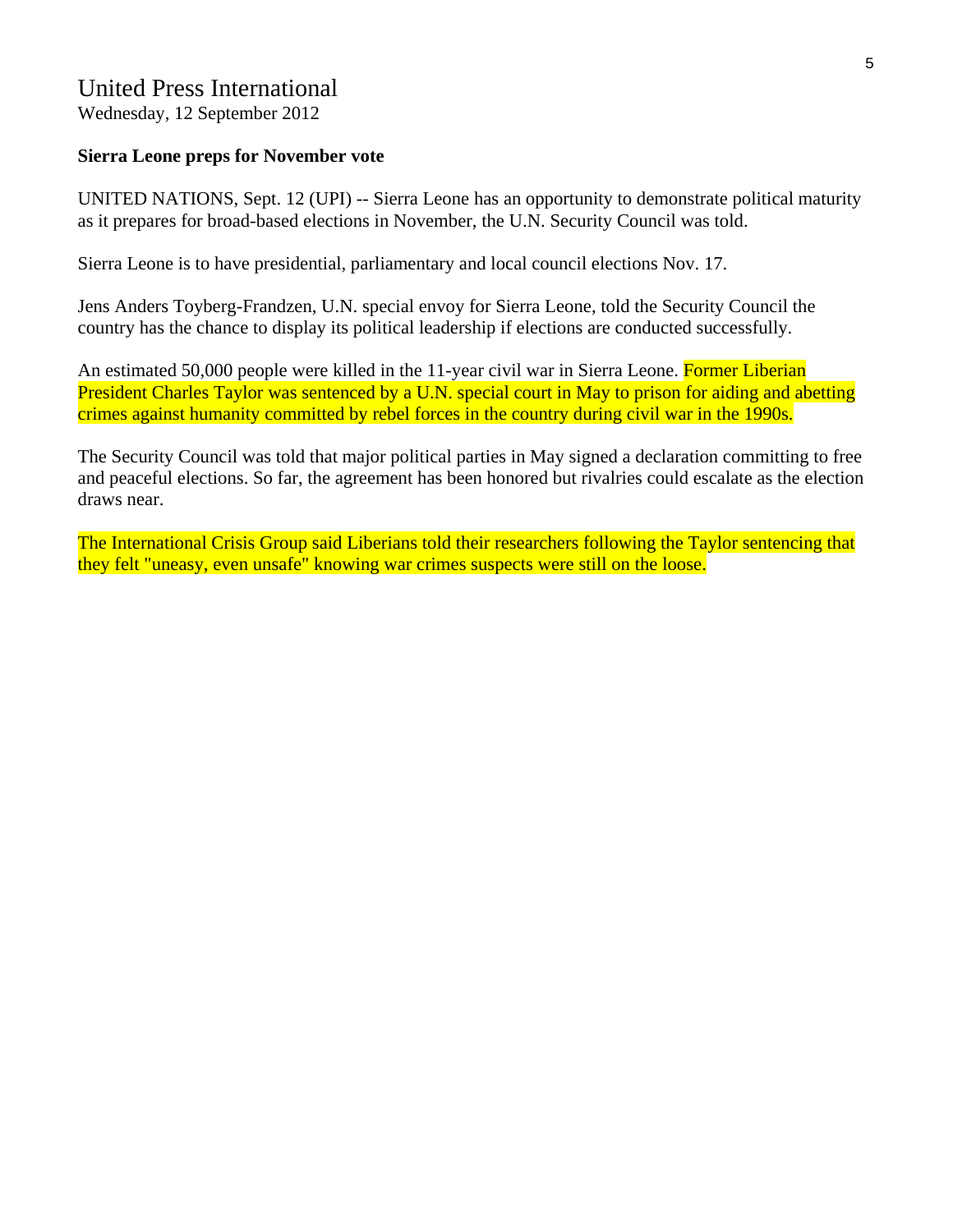#### United Press International

Wednesday, 12 September 2012

#### **Sierra Leone preps for November vote**

UNITED NATIONS, Sept. 12 (UPI) -- Sierra Leone has an opportunity to demonstrate political maturity as it prepares for broad-based elections in November, the U.N. Security Council was told.

Sierra Leone is to have presidential, parliamentary and local council elections Nov. 17.

Jens Anders Toyberg-Frandzen, U.N. special envoy for Sierra Leone, told the Security Council the country has the chance to display its political leadership if elections are conducted successfully.

An estimated 50,000 people were killed in the 11-year civil war in Sierra Leone. Former Liberian President Charles Taylor was sentenced by a U.N. special court in May to prison for aiding and abetting crimes against humanity committed by rebel forces in the country during civil war in the 1990s.

The Security Council was told that major political parties in May signed a declaration committing to free and peaceful elections. So far, the agreement has been honored but rivalries could escalate as the election draws near.

The International Crisis Group said Liberians told their researchers following the Taylor sentencing that they felt "uneasy, even unsafe" knowing war crimes suspects were still on the loose.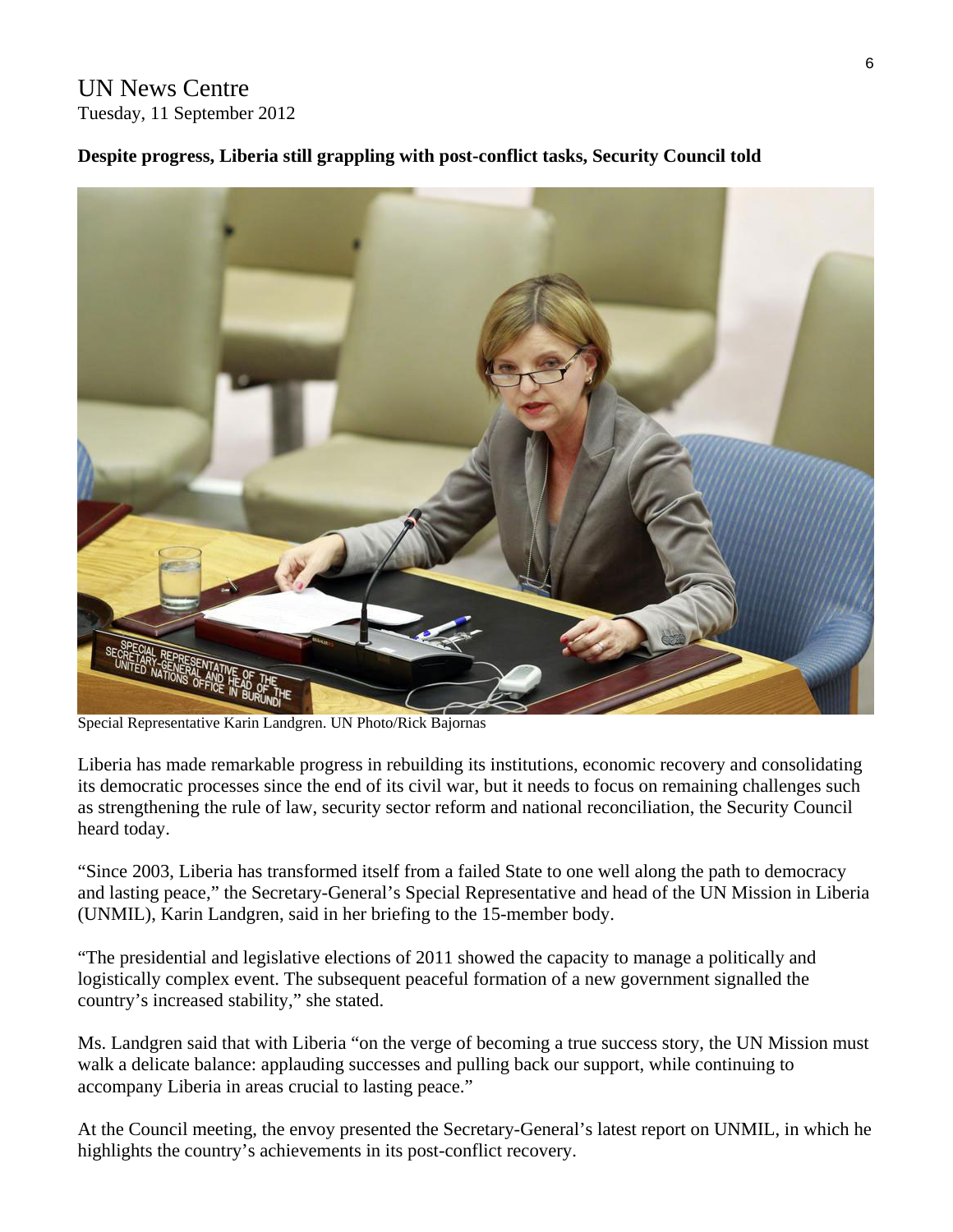#### UN News Centre Tuesday, 11 September 2012

#### **Despite progress, Liberia still grappling with post-conflict tasks, Security Council told**



Special Representative Karin Landgren. UN Photo/Rick Bajornas

Liberia has made remarkable progress in rebuilding its institutions, economic recovery and consolidating its democratic processes since the end of its civil war, but it needs to focus on remaining challenges such as strengthening the rule of law, security sector reform and national reconciliation, the Security Council heard today.

"Since 2003, Liberia has transformed itself from a failed State to one well along the path to democracy and lasting peace," the Secretary-General's Special Representative and head of the UN Mission in Liberia (UNMIL), Karin Landgren, said in her briefing to the 15-member body.

"The presidential and legislative elections of 2011 showed the capacity to manage a politically and logistically complex event. The subsequent peaceful formation of a new government signalled the country's increased stability," she stated.

Ms. Landgren said that with Liberia "on the verge of becoming a true success story, the UN Mission must walk a delicate balance: applauding successes and pulling back our support, while continuing to accompany Liberia in areas crucial to lasting peace."

At the Council meeting, the envoy presented the Secretary-General's latest report on UNMIL, in which he highlights the country's achievements in its post-conflict recovery.